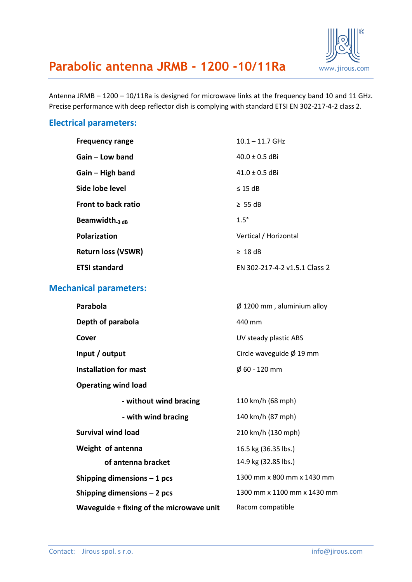

## **Parabolic antenna JRMB - 1200 -10/11Ra** [www.jirous.com](http://www.jirous.com/)

Antenna JRMB – 1200 – 10/11Ra is designed for microwave links at the frequency band 10 and 11 GHz. Precise performance with deep reflector dish is complying with standard ETSI EN 302-217-4-2 class 2.

#### **Electrical parameters:**

| <b>Frequency range</b>    | $10.1 - 11.7$ GHz             |
|---------------------------|-------------------------------|
| Gain – Low band           | $40.0 \pm 0.5$ dBi            |
| $Gain - High band$        | $41.0 \pm 0.5$ dBi            |
| Side lobe level           | $\leq$ 15 dB                  |
| Front to back ratio       | $\geq$ 55 dB                  |
| Beamwidth $_3$ dB         | $1.5^\circ$                   |
| <b>Polarization</b>       | Vertical / Horizontal         |
| <b>Return loss (VSWR)</b> | $\geq 18$ dB                  |
| <b>ETSI standard</b>      | FN 302-217-4-2 v1.5.1 Class 2 |

#### **Mechanical parameters:**

| Parabola                                 | $\varnothing$ 1200 mm, aluminium alloy |
|------------------------------------------|----------------------------------------|
| Depth of parabola                        | 440 mm                                 |
| Cover                                    | UV steady plastic ABS                  |
| Input / output                           | Circle waveguide $\varnothing$ 19 mm   |
| <b>Installation for mast</b>             | $\phi$ 60 - 120 mm                     |
| <b>Operating wind load</b>               |                                        |
| - without wind bracing                   | 110 km/h (68 mph)                      |
| - with wind bracing                      | 140 km/h (87 mph)                      |
| <b>Survival wind load</b>                | 210 km/h (130 mph)                     |
| Weight of antenna                        | 16.5 kg (36.35 lbs.)                   |
| of antenna bracket                       | 14.9 kg (32.85 lbs.)                   |
| Shipping dimensions $-1$ pcs             | 1300 mm x 800 mm x 1430 mm             |
| Shipping dimensions $-2$ pcs             | 1300 mm x 1100 mm x 1430 mm            |
| Waveguide + fixing of the microwave unit | Racom compatible                       |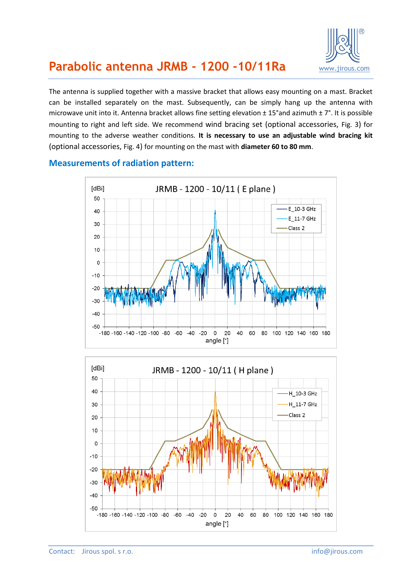

## **Parabolic antenna JRMB - 1200 -10/11Ra** [www.jirous.com](http://www.jirous.com/)

The antenna is supplied together with a massive bracket that allows easy mounting on a mast. Bracket can be installed separately on the mast. Subsequently, can be simply hang up the antenna with microwave unit into it. Antenna bracket allows fine setting elevation ± 15°and azimuth ± 7°. It is possible mounting to right and left side. We recommend wind bracing set (optional accessories, [Fig. 3](#page-3-0)) for mounting to the adverse weather conditions. **It is necessary to use an adjustable wind bracing kit** (optional accessories, [Fig. 4](#page-3-1)) for mounting on the mast with **diameter 60 to 80 mm**.



#### **Measurements of radiation pattern:**

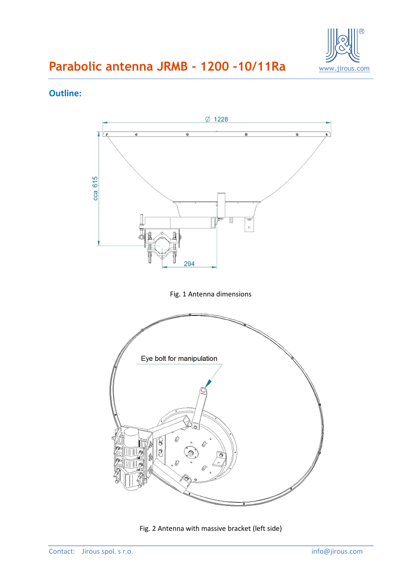

# **Parabolic antenna JRMB - 1200 -10/11Ra**

### **Outline:**